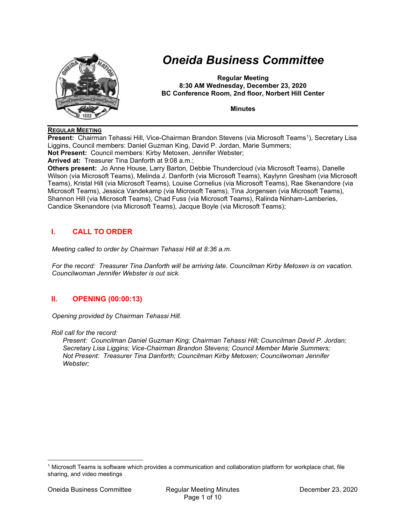

# Oneida Business Committee

Regular Meeting 8:30 AM Wednesday, December 23, 2020 BC Conference Room, 2nd floor, Norbert Hill Center

**Minutes** 

#### REGULAR MEETING

**Present:** Chairman Tehassi Hill, Vice-Chairman Brandon Stevens (via Microsoft Teams<sup>1</sup>), Secretary Lisa Liggins, Council members: Daniel Guzman King, David P. Jordan, Marie Summers; Not Present: Council members: Kirby Metoxen, Jennifer Webster;

Arrived at: Treasurer Tina Danforth at 9:08 a.m.;

Others present: Jo Anne House, Larry Barton, Debbie Thundercloud (via Microsoft Teams), Danelle Wilson (via Microsoft Teams), Melinda J. Danforth (via Microsoft Teams), Kaylynn Gresham (via Microsoft Teams), Kristal Hill (via Microsoft Teams), Louise Cornelius (via Microsoft Teams), Rae Skenandore (via Microsoft Teams), Jessica Vandekamp (via Microsoft Teams), Tina Jorgensen (via Microsoft Teams), Shannon Hill (via Microsoft Teams), Chad Fuss (via Microsoft Teams), Ralinda Ninham-Lamberies, Candice Skenandore (via Microsoft Teams), Jacque Boyle (via Microsoft Teams);

## I. CALL TO ORDER

Meeting called to order by Chairman Tehassi Hill at 8:36 a.m.

For the record: Treasurer Tina Danforth will be arriving late. Councilman Kirby Metoxen is on vacation. Councilwoman Jennifer Webster is out sick.

## II. OPENING (00:00:13)

Opening provided by Chairman Tehassi Hill.

Roll call for the record:

Present: Councilman Daniel Guzman King; Chairman Tehassi Hill; Councilman David P. Jordan; Secretary Lisa Liggins; Vice-Chairman Brandon Stevens; Council Member Marie Summers; Not Present: Treasurer Tina Danforth; Councilman Kirby Metoxen; Councilwoman Jennifer Webster;

<sup>1</sup> Microsoft Teams is software which provides a communication and collaboration platform for workplace chat, file sharing, and video meetings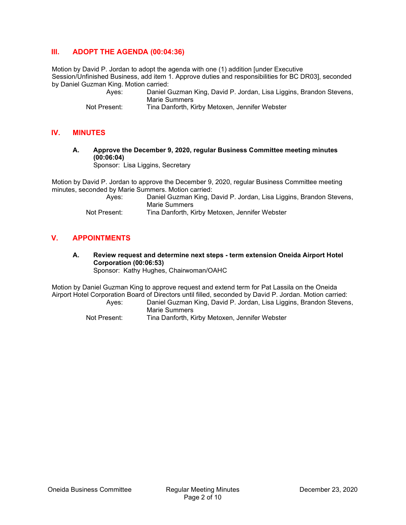## III. ADOPT THE AGENDA (00:04:36)

Motion by David P. Jordan to adopt the agenda with one (1) addition [under Executive Session/Unfinished Business, add item 1. Approve duties and responsibilities for BC DR03], seconded by Daniel Guzman King. Motion carried:

Daniel Guzman King, David P. Jordan, Lisa Liggins, Brandon Stevens, Marie Summers

Not Present: Tina Danforth, Kirby Metoxen, Jennifer Webster

#### IV. MINUTES

## A. Approve the December 9, 2020, regular Business Committee meeting minutes (00:06:04)

Sponsor: Lisa Liggins, Secretary

Motion by David P. Jordan to approve the December 9, 2020, regular Business Committee meeting minutes, seconded by Marie Summers. Motion carried:

| Ayes:        | Daniel Guzman King, David P. Jordan, Lisa Liggins, Brandon Stevens,<br>Marie Summers |
|--------------|--------------------------------------------------------------------------------------|
| Not Droopsti | Ting Denferth Kirby Meterson Jennifer Webster                                        |

Not Present: Tina Danforth, Kirby Metoxen, Jennifer Webster

## V. APPOINTMENTS

A. Review request and determine next steps - term extension Oneida Airport Hotel Corporation (00:06:53) Sponsor: Kathy Hughes, Chairwoman/OAHC

Motion by Daniel Guzman King to approve request and extend term for Pat Lassila on the Oneida Airport Hotel Corporation Board of Directors until filled, seconded by David P. Jordan. Motion carried:

 Ayes: Daniel Guzman King, David P. Jordan, Lisa Liggins, Brandon Stevens, Marie Summers

Not Present: Tina Danforth, Kirby Metoxen, Jennifer Webster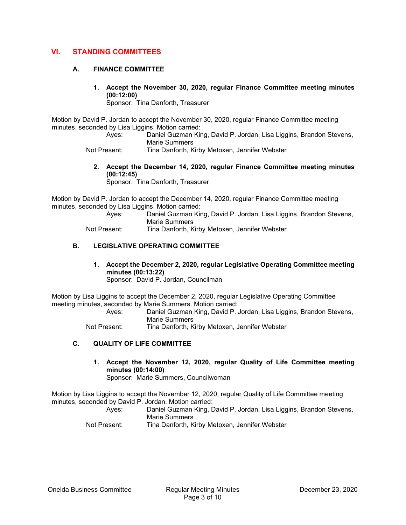## VI. STANDING COMMITTEES

#### A. FINANCE COMMITTEE

1. Accept the November 30, 2020, regular Finance Committee meeting minutes (00:12:00)

Sponsor: Tina Danforth, Treasurer

Motion by David P. Jordan to accept the November 30, 2020, regular Finance Committee meeting minutes, seconded by Lisa Liggins. Motion carried:

- Ayes: Daniel Guzman King, David P. Jordan, Lisa Liggins, Brandon Stevens, Marie Summers
- Not Present: Tina Danforth, Kirby Metoxen, Jennifer Webster
	- 2. Accept the December 14, 2020, regular Finance Committee meeting minutes (00:12:45)

Sponsor: Tina Danforth, Treasurer

Motion by David P. Jordan to accept the December 14, 2020, regular Finance Committee meeting minutes, seconded by Lisa Liggins. Motion carried:

| Ayes:        | Daniel Guzman King, David P. Jordan, Lisa Liggins, Brandon Stevens, |
|--------------|---------------------------------------------------------------------|
|              | Marie Summers                                                       |
| Not Present: | Tina Danforth, Kirby Metoxen, Jennifer Webster                      |

#### B. LEGISLATIVE OPERATING COMMITTEE

1. Accept the December 2, 2020, regular Legislative Operating Committee meeting minutes (00:13:22) Sponsor: David P. Jordan, Councilman

Motion by Lisa Liggins to accept the December 2, 2020, regular Legislative Operating Committee meeting minutes, seconded by Marie Summers. Motion carried:

 Ayes: Daniel Guzman King, David P. Jordan, Lisa Liggins, Brandon Stevens, Marie Summers

Not Present: Tina Danforth, Kirby Metoxen, Jennifer Webster

#### C. QUALITY OF LIFE COMMITTEE

1. Accept the November 12, 2020, regular Quality of Life Committee meeting minutes (00:14:00)

Sponsor: Marie Summers, Councilwoman

Motion by Lisa Liggins to accept the November 12, 2020, regular Quality of Life Committee meeting minutes, seconded by David P. Jordan. Motion carried:

| Aves:        | Daniel Guzman King, David P. Jordan, Lisa Liggins, Brandon Stevens,<br>Marie Summers |
|--------------|--------------------------------------------------------------------------------------|
| Not Procont: | Ting Danforth Kirby Matovan Jannifer Wabster                                         |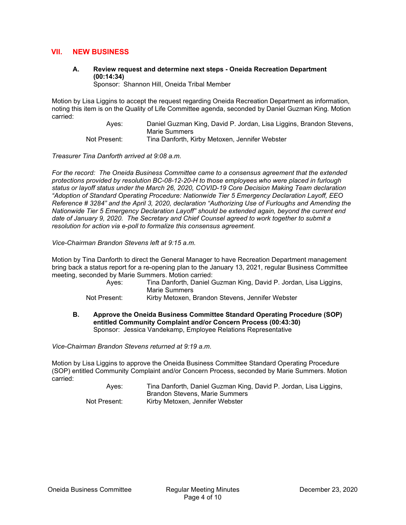## VII. NEW BUSINESS

A. Review request and determine next steps - Oneida Recreation Department (00:14:34)

Sponsor: Shannon Hill, Oneida Tribal Member

Motion by Lisa Liggins to accept the request regarding Oneida Recreation Department as information, noting this item is on the Quality of Life Committee agenda, seconded by Daniel Guzman King. Motion carried:

 Ayes: Daniel Guzman King, David P. Jordan, Lisa Liggins, Brandon Stevens, Marie Summers Not Present: Tina Danforth, Kirby Metoxen, Jennifer Webster

Treasurer Tina Danforth arrived at 9:08 a.m.

For the record: The Oneida Business Committee came to a consensus agreement that the extended protections provided by resolution BC-08-12-20-H to those employees who were placed in furlough status or layoff status under the March 26, 2020, COVID-19 Core Decision Making Team declaration "Adoption of Standard Operating Procedure: Nationwide Tier 5 Emergency Declaration Layoff, EEO Reference # 3284" and the April 3, 2020, declaration "Authorizing Use of Furloughs and Amending the Nationwide Tier 5 Emergency Declaration Layoff" should be extended again, beyond the current end date of January 9, 2020. The Secretary and Chief Counsel agreed to work together to submit a resolution for action via e-poll to formalize this consensus agreement.

Vice-Chairman Brandon Stevens left at 9:15 a.m.

Motion by Tina Danforth to direct the General Manager to have Recreation Department management bring back a status report for a re-opening plan to the January 13, 2021, regular Business Committee meeting, seconded by Marie Summers. Motion carried:

| Aves:        | Tina Danforth, Daniel Guzman King, David P. Jordan, Lisa Liggins,<br>Marie Summers |
|--------------|------------------------------------------------------------------------------------|
| Not Present: | Kirby Metoxen, Brandon Stevens, Jennifer Webster                                   |

B. Approve the Oneida Business Committee Standard Operating Procedure (SOP) entitled Community Complaint and/or Concern Process (00:43:30) Sponsor: Jessica Vandekamp, Employee Relations Representative

Vice-Chairman Brandon Stevens returned at 9:19 a.m.

Motion by Lisa Liggins to approve the Oneida Business Committee Standard Operating Procedure (SOP) entitled Community Complaint and/or Concern Process, seconded by Marie Summers. Motion carried:

| Ayes:        | Tina Danforth, Daniel Guzman King, David P. Jordan, Lisa Liggins, |
|--------------|-------------------------------------------------------------------|
|              | <b>Brandon Stevens, Marie Summers</b>                             |
| Not Present: | Kirby Metoxen, Jennifer Webster                                   |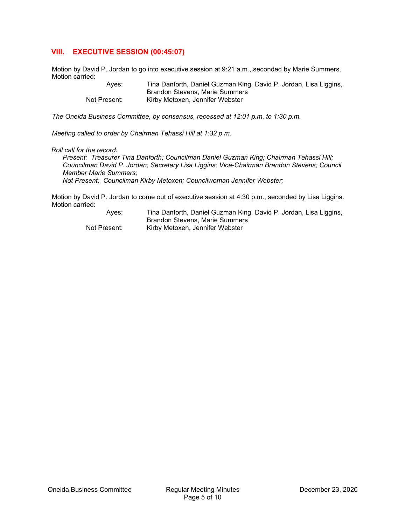## VIII. EXECUTIVE SESSION (00:45:07)

Motion by David P. Jordan to go into executive session at 9:21 a.m., seconded by Marie Summers. Motion carried:

> Ayes: Tina Danforth, Daniel Guzman King, David P. Jordan, Lisa Liggins, Brandon Stevens, Marie Summers Not Present: Kirby Metoxen, Jennifer Webster

The Oneida Business Committee, by consensus, recessed at 12:01 p.m. to 1:30 p.m.

Meeting called to order by Chairman Tehassi Hill at 1:32 p.m.

#### Roll call for the record:

Present: Treasurer Tina Danforth; Councilman Daniel Guzman King; Chairman Tehassi Hill; Councilman David P. Jordan; Secretary Lisa Liggins; Vice-Chairman Brandon Stevens; Council Member Marie Summers;

Not Present: Councilman Kirby Metoxen; Councilwoman Jennifer Webster;

Motion by David P. Jordan to come out of executive session at 4:30 p.m., seconded by Lisa Liggins. Motion carried:

> Ayes: Tina Danforth, Daniel Guzman King, David P. Jordan, Lisa Liggins, Brandon Stevens, Marie Summers Not Present: Kirby Metoxen, Jennifer Webster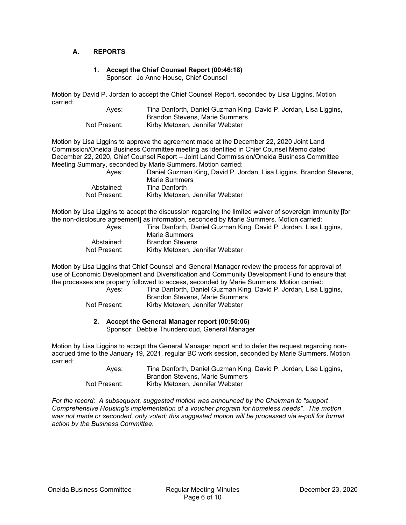#### A. REPORTS

#### 1. Accept the Chief Counsel Report (00:46:18) Sponsor: Jo Anne House, Chief Counsel

Motion by David P. Jordan to accept the Chief Counsel Report, seconded by Lisa Liggins. Motion carried:

| Ayes:        | Tina Danforth, Daniel Guzman King, David P. Jordan, Lisa Liggins, |
|--------------|-------------------------------------------------------------------|
|              | Brandon Stevens. Marie Summers                                    |
| Not Present: | Kirby Metoxen, Jennifer Webster                                   |

Motion by Lisa Liggins to approve the agreement made at the December 22, 2020 Joint Land Commission/Oneida Business Committee meeting as identified in Chief Counsel Memo dated December 22, 2020, Chief Counsel Report – Joint Land Commission/Oneida Business Committee Meeting Summary, seconded by Marie Summers. Motion carried: Ayes: Daniel Guzman King, David P. Jordan, Lisa Liggins, Brandon Stevens,

| Ayes.        | Daniel Guzman King, David P. Jordan, L |
|--------------|----------------------------------------|
|              | Marie Summers                          |
| Abstained:   | Tina Danforth                          |
| Not Present: | Kirby Metoxen, Jennifer Webster        |

Motion by Lisa Liggins to accept the discussion regarding the limited waiver of sovereign immunity [for the non-disclosure agreement] as information, seconded by Marie Summers. Motion carried: Ayes: Tina Danforth, Daniel Guzman King, David P. Jordan, Lisa Liggins,

| AVGS.        | Tina Daniorui, Danier Guzhian King |
|--------------|------------------------------------|
|              | Marie Summers                      |
| Abstained:   | <b>Brandon Stevens</b>             |
| Not Present: | Kirby Metoxen, Jennifer Webster    |

Motion by Lisa Liggins that Chief Counsel and General Manager review the process for approval of use of Economic Development and Diversification and Community Development Fund to ensure that the processes are properly followed to access, seconded by Marie Summers. Motion carried:

 Ayes: Tina Danforth, Daniel Guzman King, David P. Jordan, Lisa Liggins, Brandon Stevens, Marie Summers Not Present: Kirby Metoxen, Jennifer Webster

#### 2. Accept the General Manager report (00:50:06)

Sponsor: Debbie Thundercloud, General Manager

Motion by Lisa Liggins to accept the General Manager report and to defer the request regarding nonaccrued time to the January 19, 2021, regular BC work session, seconded by Marie Summers. Motion carried:

| Ayes:        | Tina Danforth, Daniel Guzman King, David P. Jordan, Lisa Liggins, |
|--------------|-------------------------------------------------------------------|
|              | Brandon Stevens. Marie Summers                                    |
| Not Present: | Kirby Metoxen, Jennifer Webster                                   |

For the record: A subsequent, suggested motion was announced by the Chairman to "support Comprehensive Housing's implementation of a voucher program for homeless needs". The motion was not made or seconded, only voted; this suggested motion will be processed via e-poll for formal action by the Business Committee.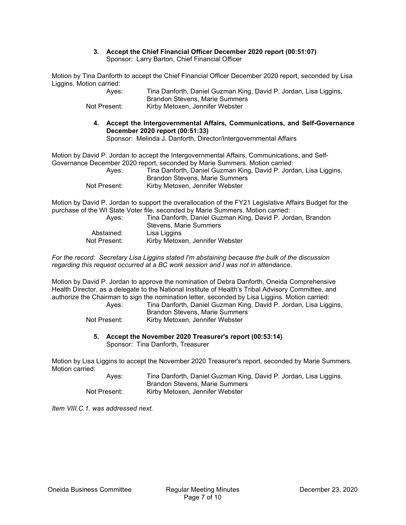#### 3. Accept the Chief Financial Officer December 2020 report (00:51:07) Sponsor: Larry Barton, Chief Financial Officer

Motion by Tina Danforth to accept the Chief Financial Officer December 2020 report, seconded by Lisa Liggins. Motion carried:

| Aves:        | Tina Danforth, Daniel Guzman King, David P. Jordan, Lisa Liggins, |
|--------------|-------------------------------------------------------------------|
|              | Brandon Stevens, Marie Summers                                    |
| Not Present: | Kirby Metoxen, Jennifer Webster                                   |

4. Accept the Intergovernmental Affairs, Communications, and Self-Governance December 2020 report (00:51:33) Sponsor: Melinda J. Danforth, Director/Intergovernmental Affairs

Motion by David P. Jordan to accept the Intergovernmental Affairs, Communications, and Self-Governance December 2020 report, seconded by Marie Summers. Motion carried:

 Ayes: Tina Danforth, Daniel Guzman King, David P. Jordan, Lisa Liggins, Brandon Stevens, Marie Summers Not Present: Kirby Metoxen, Jennifer Webster

Motion by David P. Jordan to support the overallocation of the FY21 Legislative Affairs Budget for the purchase of the WI State Voter file, seconded by Marie Summers. Motion carried:

| Aves:        | Tina Danforth, Daniel Guzman King, David P. Jordan, Brandon<br>Stevens. Marie Summers |
|--------------|---------------------------------------------------------------------------------------|
| Abstained:   | Lisa Liggins                                                                          |
| Not Present: | Kirby Metoxen, Jennifer Webster                                                       |

For the record: Secretary Lisa Liggins stated I'm abstaining because the bulk of the discussion regarding this request occurred at a BC work session and I was not in attendance.

Motion by David P. Jordan to approve the nomination of Debra Danforth, Oneida Comprehensive Health Director, as a delegate to the National Institute of Health's Tribal Advisory Committee, and authorize the Chairman to sign the nomination letter, seconded by Lisa Liggins. Motion carried:

| Aves:        | Tina Danforth, Daniel Guzman King, David P. Jordan, Lisa Liggins, |
|--------------|-------------------------------------------------------------------|
|              | Brandon Stevens, Marie Summers                                    |
| Not Present: | Kirby Metoxen, Jennifer Webster                                   |

#### 5. Accept the November 2020 Treasurer's report (00:53:14) Sponsor: Tina Danforth, Treasurer

Motion by Lisa Liggins to accept the November 2020 Treasurer's report, seconded by Marie Summers. Motion carried:

| Aves:        | Tina Danforth, Daniel Guzman King, David P. Jordan, Lisa Liggins, |
|--------------|-------------------------------------------------------------------|
|              | Brandon Stevens, Marie Summers                                    |
| Not Present: | Kirby Metoxen, Jennifer Webster                                   |

Item VIII.C.1. was addressed next.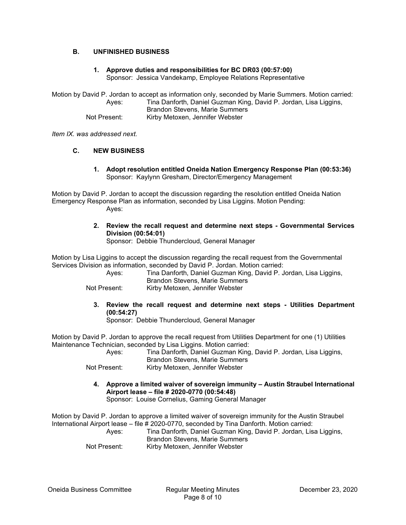#### B. UNFINISHED BUSINESS

## 1. Approve duties and responsibilities for BC DR03 (00:57:00)

Sponsor: Jessica Vandekamp, Employee Relations Representative

Motion by David P. Jordan to accept as information only, seconded by Marie Summers. Motion carried: Ayes: Tina Danforth, Daniel Guzman King, David P. Jordan, Lisa Liggins, Brandon Stevens, Marie Summers Not Present: Kirby Metoxen, Jennifer Webster

Item IX. was addressed next.

#### C. NEW BUSINESS

1. Adopt resolution entitled Oneida Nation Emergency Response Plan (00:53:36) Sponsor: Kaylynn Gresham, Director/Emergency Management

Motion by David P. Jordan to accept the discussion regarding the resolution entitled Oneida Nation Emergency Response Plan as information, seconded by Lisa Liggins. Motion Pending: Ayes:

> 2. Review the recall request and determine next steps - Governmental Services Division (00:54:01)

Sponsor: Debbie Thundercloud, General Manager

Motion by Lisa Liggins to accept the discussion regarding the recall request from the Governmental Services Division as information, seconded by David P. Jordan. Motion carried:

| Ayes:        | Tina Danforth, Daniel Guzman King, David P. Jordan, Lisa Liggins, |
|--------------|-------------------------------------------------------------------|
|              | Brandon Stevens, Marie Summers                                    |
| Not Present: | Kirby Metoxen, Jennifer Webster                                   |

3. Review the recall request and determine next steps - Utilities Department (00:54:27)

Sponsor: Debbie Thundercloud, General Manager

Motion by David P. Jordan to approve the recall request from Utilities Department for one (1) Utilities Maintenance Technician, seconded by Lisa Liggins. Motion carried:

 Ayes: Tina Danforth, Daniel Guzman King, David P. Jordan, Lisa Liggins, Brandon Stevens, Marie Summers

- Not Present: Kirby Metoxen, Jennifer Webster
	- 4. Approve a limited waiver of sovereign immunity Austin Straubel International Airport lease – file # 2020-0770 (00:54:48)

Sponsor: Louise Cornelius, Gaming General Manager

Motion by David P. Jordan to approve a limited waiver of sovereign immunity for the Austin Straubel International Airport lease – file # 2020-0770, seconded by Tina Danforth. Motion carried: Ayes: Tina Danforth, Daniel Guzman King, David P. Jordan, Lisa Liggins, Brandon Stevens, Marie Summers Not Present: Kirby Metoxen, Jennifer Webster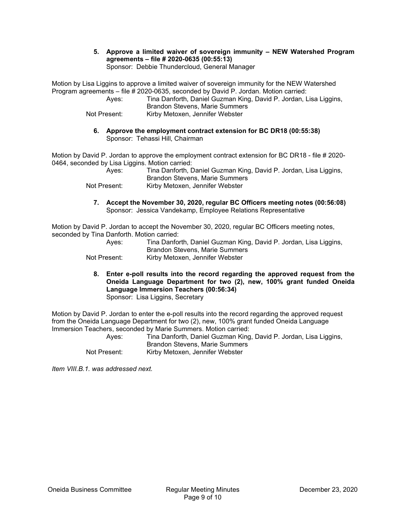#### 5. Approve a limited waiver of sovereign immunity – NEW Watershed Program agreements – file # 2020-0635 (00:55:13) Sponsor: Debbie Thundercloud, General Manager

Motion by Lisa Liggins to approve a limited waiver of sovereign immunity for the NEW Watershed Program agreements – file # 2020-0635, seconded by David P. Jordan. Motion carried:

 Ayes: Tina Danforth, Daniel Guzman King, David P. Jordan, Lisa Liggins, Brandon Stevens, Marie Summers Not Present: Kirby Metoxen, Jennifer Webster

6. Approve the employment contract extension for BC DR18 (00:55:38) Sponsor: Tehassi Hill, Chairman

Motion by David P. Jordan to approve the employment contract extension for BC DR18 - file # 2020- 0464, seconded by Lisa Liggins. Motion carried:

| Ayes:        | Tina Danforth, Daniel Guzman King, David P. Jordan, Lisa Liggins, |
|--------------|-------------------------------------------------------------------|
|              | Brandon Stevens, Marie Summers                                    |
| Not Present: | Kirby Metoxen, Jennifer Webster                                   |

7. Accept the November 30, 2020, regular BC Officers meeting notes (00:56:08) Sponsor: Jessica Vandekamp, Employee Relations Representative

Motion by David P. Jordan to accept the November 30, 2020, regular BC Officers meeting notes, seconded by Tina Danforth. Motion carried:

| Aves:        | Tina Danforth, Daniel Guzman King, David P. Jordan, Lisa Liggins,<br>Brandon Stevens, Marie Summers |
|--------------|-----------------------------------------------------------------------------------------------------|
| Not Present: | Kirby Metoxen, Jennifer Webster                                                                     |

8. Enter e-poll results into the record regarding the approved request from the Oneida Language Department for two (2), new, 100% grant funded Oneida Language Immersion Teachers (00:56:34) Sponsor: Lisa Liggins, Secretary

Motion by David P. Jordan to enter the e-poll results into the record regarding the approved request from the Oneida Language Department for two (2), new, 100% grant funded Oneida Language Immersion Teachers, seconded by Marie Summers. Motion carried:

 Ayes: Tina Danforth, Daniel Guzman King, David P. Jordan, Lisa Liggins, Brandon Stevens, Marie Summers Not Present: Kirby Metoxen, Jennifer Webster

Item VIII.B.1. was addressed next.